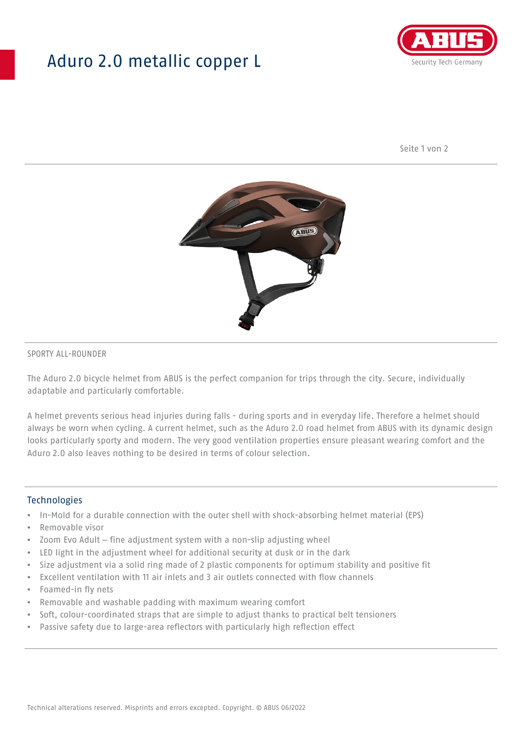## Aduro 2.0 metallic copper L



Seite 1 von 2



#### SPORTY ALL-ROUNDER

The Aduro 2.0 bicycle helmet from ABUS is the perfect companion for trips through the city. Secure, individually adaptable and particularly comfortable.

A helmet prevents serious head injuries during falls - during sports and in everyday life. Therefore a helmet should always be worn when cycling. A current helmet, such as the Aduro 2.0 road helmet from ABUS with its dynamic design looks particularly sporty and modern. The very good ventilation properties ensure pleasant wearing comfort and the Aduro 2.0 also leaves nothing to be desired in terms of colour selection.

#### **Technologies**

- In-Mold for a durable connection with the outer shell with shock-absorbing helmet material (EPS)
- Removable visor
- Zoom Evo Adult fine adjustment system with a non-slip adjusting wheel
- LED light in the adjustment wheel for additional security at dusk or in the dark
- Size adjustment via a solid ring made of 2 plastic components for optimum stability and positive fit
- Excellent ventilation with 11 air inlets and 3 air outlets connected with flow channels
- Foamed-in fly nets
- Removable and washable padding with maximum wearing comfort
- Soft, colour-coordinated straps that are simple to adjust thanks to practical belt tensioners
- Passive safety due to large-area reflectors with particularly high reflection effect